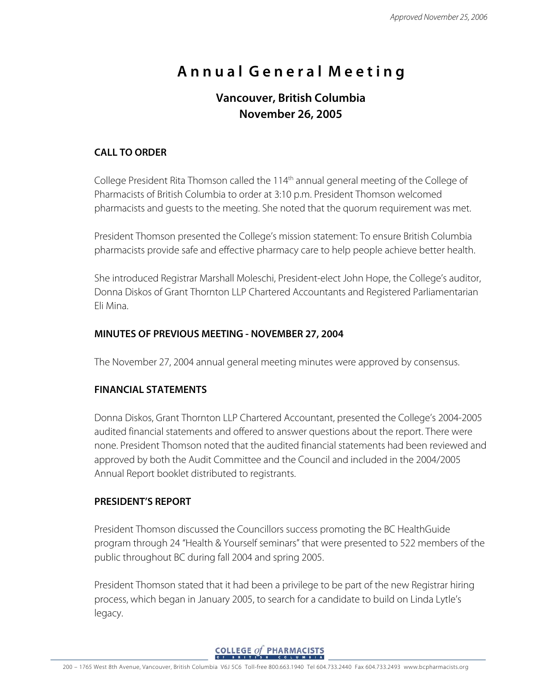# **A n n u a l G e n e r a l M e e t i n g**

# **Vancouver, British Columbia November 26, 2005**

# **CALL TO ORDER**

College President Rita Thomson called the 114<sup>th</sup> annual general meeting of the College of Pharmacists of British Columbia to order at 3:10 p.m. President Thomson welcomed pharmacists and guests to the meeting. She noted that the quorum requirement was met.

President Thomson presented the College's mission statement: To ensure British Columbia pharmacists provide safe and effective pharmacy care to help people achieve better health.

She introduced Registrar Marshall Moleschi, President-elect John Hope, the College's auditor, Donna Diskos of Grant Thornton LLP Chartered Accountants and Registered Parliamentarian Eli Mina.

# **MINUTES OF PREVIOUS MEETING - NOVEMBER 27, 2004**

The November 27, 2004 annual general meeting minutes were approved by consensus.

#### **FINANCIAL STATEMENTS**

Donna Diskos, Grant Thornton LLP Chartered Accountant, presented the College's 2004-2005 audited financial statements and offered to answer questions about the report. There were none. President Thomson noted that the audited financial statements had been reviewed and approved by both the Audit Committee and the Council and included in the 2004/2005 Annual Report booklet distributed to registrants.

# **PRESIDENT'S REPORT**

President Thomson discussed the Councillors success promoting the BC HealthGuide program through 24 "Health & Yourself seminars" that were presented to 522 members of the public throughout BC during fall 2004 and spring 2005.

President Thomson stated that it had been a privilege to be part of the new Registrar hiring process, which began in January 2005, to search for a candidate to build on Linda Lytle's legacy.

**COLLEGE of PHARMACISTS**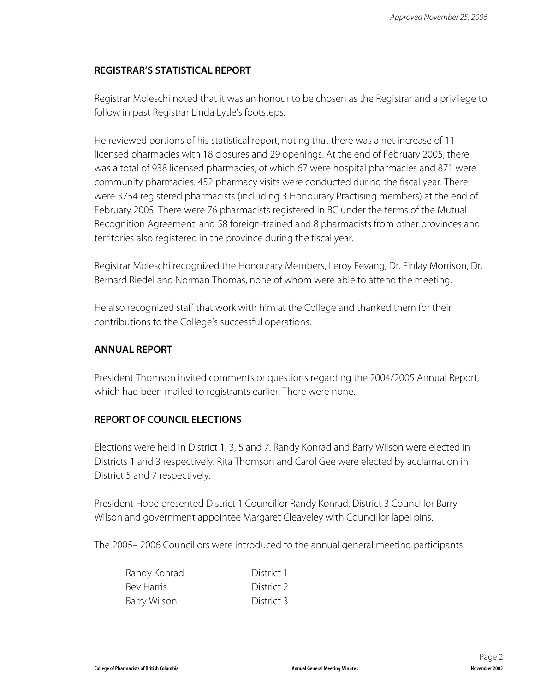# **REGISTRAR'S STATISTICAL REPORT**

Registrar Moleschi noted that it was an honour to be chosen as the Registrar and a privilege to follow in past Registrar Linda Lytle's footsteps.

He reviewed portions of his statistical report, noting that there was a net increase of 11 licensed pharmacies with 18 closures and 29 openings. At the end of February 2005, there was a total of 938 licensed pharmacies, of which 67 were hospital pharmacies and 871 were community pharmacies. 452 pharmacy visits were conducted during the fiscal year. There were 3754 registered pharmacists (including 3 Honourary Practising members) at the end of February 2005. There were 76 pharmacists registered in BC under the terms of the Mutual Recognition Agreement, and 58 foreign-trained and 8 pharmacists from other provinces and territories also registered in the province during the fiscal year.

Registrar Moleschi recognized the Honourary Members, Leroy Fevang, Dr. Finlay Morrison, Dr. Bernard Riedel and Norman Thomas, none of whom were able to attend the meeting.

He also recognized staff that work with him at the College and thanked them for their contributions to the College's successful operations.

# **ANNUAL REPORT**

President Thomson invited comments or questions regarding the 2004/2005 Annual Report, which had been mailed to registrants earlier. There were none.

# **REPORT OF COUNCIL ELECTIONS**

Elections were held in District 1, 3, 5 and 7. Randy Konrad and Barry Wilson were elected in Districts 1 and 3 respectively. Rita Thomson and Carol Gee were elected by acclamation in District 5 and 7 respectively.

President Hope presented District 1 Councillor Randy Konrad, District 3 Councillor Barry Wilson and government appointee Margaret Cleaveley with Councillor lapel pins.

The 2005– 2006 Councillors were introduced to the annual general meeting participants:

| Randy Konrad | District 1 |
|--------------|------------|
| Bev Harris   | District 2 |
| Barry Wilson | District 3 |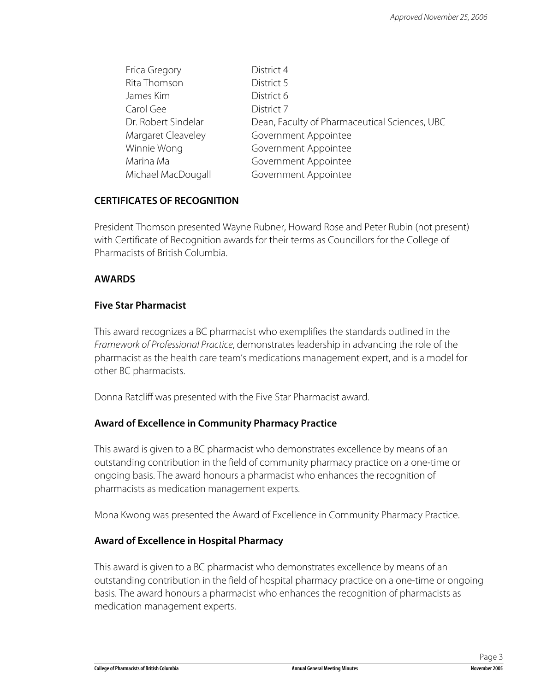| Erica Gregory       | District 4                                    |
|---------------------|-----------------------------------------------|
| Rita Thomson        | District 5                                    |
| James Kim           | District 6                                    |
| Carol Gee           | District 7                                    |
| Dr. Robert Sindelar | Dean, Faculty of Pharmaceutical Sciences, UBC |
| Margaret Cleaveley  | Government Appointee                          |
| Winnie Wong         | Government Appointee                          |
| Marina Ma           | Government Appointee                          |
| Michael MacDougall  | Government Appointee                          |

# **CERTIFICATES OF RECOGNITION**

President Thomson presented Wayne Rubner, Howard Rose and Peter Rubin (not present) with Certificate of Recognition awards for their terms as Councillors for the College of Pharmacists of British Columbia.

#### **AWARDS**

#### **Five Star Pharmacist**

This award recognizes a BC pharmacist who exemplifies the standards outlined in the Framework of Professional Practice, demonstrates leadership in advancing the role of the pharmacist as the health care team's medications management expert, and is a model for other BC pharmacists.

Donna Ratcliff was presented with the Five Star Pharmacist award.

#### **Award of Excellence in Community Pharmacy Practice**

This award is given to a BC pharmacist who demonstrates excellence by means of an outstanding contribution in the field of community pharmacy practice on a one-time or ongoing basis. The award honours a pharmacist who enhances the recognition of pharmacists as medication management experts.

Mona Kwong was presented the Award of Excellence in Community Pharmacy Practice.

#### **Award of Excellence in Hospital Pharmacy**

This award is given to a BC pharmacist who demonstrates excellence by means of an outstanding contribution in the field of hospital pharmacy practice on a one-time or ongoing basis. The award honours a pharmacist who enhances the recognition of pharmacists as medication management experts.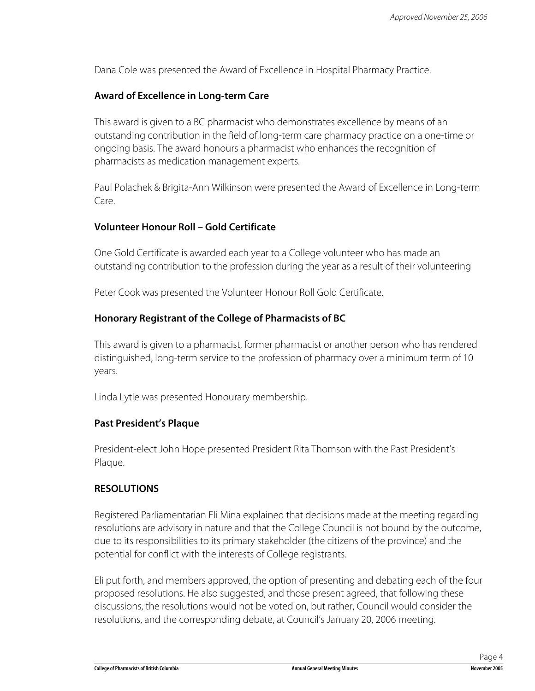Dana Cole was presented the Award of Excellence in Hospital Pharmacy Practice.

#### **Award of Excellence in Long-term Care**

This award is given to a BC pharmacist who demonstrates excellence by means of an outstanding contribution in the field of long-term care pharmacy practice on a one-time or ongoing basis. The award honours a pharmacist who enhances the recognition of pharmacists as medication management experts.

Paul Polachek & Brigita-Ann Wilkinson were presented the Award of Excellence in Long-term Care.

#### **Volunteer Honour Roll – Gold Certificate**

One Gold Certificate is awarded each year to a College volunteer who has made an outstanding contribution to the profession during the year as a result of their volunteering

Peter Cook was presented the Volunteer Honour Roll Gold Certificate.

#### **Honorary Registrant of the College of Pharmacists of BC**

This award is given to a pharmacist, former pharmacist or another person who has rendered distinguished, long-term service to the profession of pharmacy over a minimum term of 10 years.

Linda Lytle was presented Honourary membership.

#### **Past President's Plaque**

President-elect John Hope presented President Rita Thomson with the Past President's Plaque.

#### **RESOLUTIONS**

Registered Parliamentarian Eli Mina explained that decisions made at the meeting regarding resolutions are advisory in nature and that the College Council is not bound by the outcome, due to its responsibilities to its primary stakeholder (the citizens of the province) and the potential for conflict with the interests of College registrants.

Eli put forth, and members approved, the option of presenting and debating each of the four proposed resolutions. He also suggested, and those present agreed, that following these discussions, the resolutions would not be voted on, but rather, Council would consider the resolutions, and the corresponding debate, at Council's January 20, 2006 meeting.